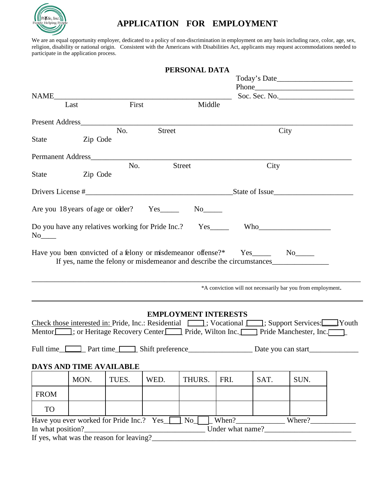

# **APPLICATION FOR EMPLOYMENT**

We are an equal opportunity employer, dedicated to a policy of non-discrimination in employment on any basis including race, color, age, sex, religion, disability or national origin. Consistent with the Americans with Disabilities Act, applicants may request accommodations needed to participate in the application process.

|                       |                                                   |       |                            | PERSONAL DATA               |      |                                                                                                                                                                                                                            |      |  |
|-----------------------|---------------------------------------------------|-------|----------------------------|-----------------------------|------|----------------------------------------------------------------------------------------------------------------------------------------------------------------------------------------------------------------------------|------|--|
|                       |                                                   |       |                            |                             |      |                                                                                                                                                                                                                            |      |  |
|                       |                                                   |       |                            |                             |      |                                                                                                                                                                                                                            |      |  |
| NAME                  |                                                   |       |                            | Soc. Sec. No.               |      |                                                                                                                                                                                                                            |      |  |
|                       | Last                                              | First |                            | Middle                      |      |                                                                                                                                                                                                                            |      |  |
|                       |                                                   |       |                            |                             |      |                                                                                                                                                                                                                            |      |  |
|                       |                                                   | No.   | <b>Street</b>              |                             |      |                                                                                                                                                                                                                            | City |  |
| State                 | Zip Code                                          |       |                            |                             |      |                                                                                                                                                                                                                            |      |  |
|                       | Permanent Address                                 |       |                            |                             |      |                                                                                                                                                                                                                            |      |  |
|                       |                                                   | No.   |                            | <b>Street</b>               |      | City                                                                                                                                                                                                                       |      |  |
| <b>State</b>          | Zip Code                                          |       |                            |                             |      |                                                                                                                                                                                                                            |      |  |
|                       |                                                   |       |                            |                             |      |                                                                                                                                                                                                                            |      |  |
|                       | Are you 18 years of age or older?                 |       | $Yes$ <sub>________</sub>  |                             |      |                                                                                                                                                                                                                            |      |  |
|                       |                                                   |       |                            |                             |      |                                                                                                                                                                                                                            |      |  |
| $No$ <sub>_____</sub> | Do you have any relatives working for Pride Inc.? |       |                            | $Yes$ <sub>_________</sub>  |      | $W$ ho                                                                                                                                                                                                                     |      |  |
|                       |                                                   |       |                            |                             |      | If yes, name the felony or misdemeanor and describe the circumstances<br>*A conviction will not necessarily bar you from employment.                                                                                       |      |  |
| Full time_[           | DAYS AND TIME AVAILABLE                           |       | Part time Shift preference | <b>EMPLOYMENT INTERESTS</b> |      | Check those interested in: Pride, Inc.: Residential <b>[42]</b> ; Vocational <b>[42]</b> ; Support Services: Youth<br>Mentor : or Heritage Recovery Center Pride, Wilton Inc. Pride Manchester, Inc.<br>Date you can start |      |  |
|                       | MON.                                              | TUES. | WED.                       | THURS.                      | FRI. | SAT.                                                                                                                                                                                                                       | SUN. |  |
|                       |                                                   |       |                            |                             |      |                                                                                                                                                                                                                            |      |  |
| <b>FROM</b>           |                                                   |       |                            |                             |      |                                                                                                                                                                                                                            |      |  |
| <b>TO</b>             |                                                   |       |                            |                             |      |                                                                                                                                                                                                                            |      |  |
|                       | Have you ever worked for Pride Inc.? Yes_         |       |                            | No                          |      | When? Where?                                                                                                                                                                                                               |      |  |
| In what position?     |                                                   |       |                            |                             |      |                                                                                                                                                                                                                            |      |  |
|                       | If yes, what was the reason for leaving?_         |       |                            |                             |      |                                                                                                                                                                                                                            |      |  |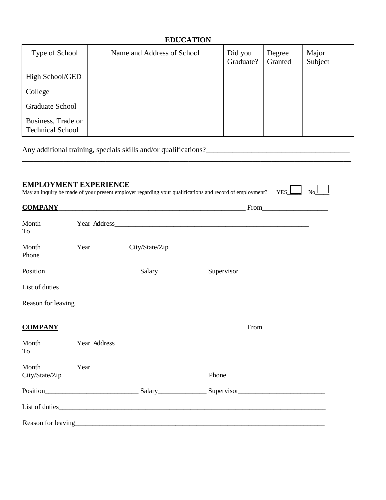### **EDUCATION**

| Type of School                                | Name and Address of School | Did you<br>Graduate? | Degree<br>Granted | Major<br>Subject |
|-----------------------------------------------|----------------------------|----------------------|-------------------|------------------|
| High School/GED                               |                            |                      |                   |                  |
| College                                       |                            |                      |                   |                  |
| <b>Graduate School</b>                        |                            |                      |                   |                  |
| Business, Trade or<br><b>Technical School</b> |                            |                      |                   |                  |

\_\_\_\_\_\_\_\_\_\_\_\_\_\_\_\_\_\_\_\_\_\_\_\_\_\_\_\_\_\_\_\_\_\_\_\_\_\_\_\_\_\_\_\_\_\_\_\_\_\_\_\_\_\_\_\_\_\_\_\_\_\_\_\_\_\_\_\_\_\_\_\_\_\_\_\_\_\_\_\_\_\_\_\_\_\_\_

Any additional training, specials skills and/or qualifications?\_\_\_\_\_\_\_\_\_\_\_\_\_\_\_\_\_\_\_\_\_\_\_\_\_\_\_\_\_\_\_\_\_\_\_\_\_\_

| <b>COMPANY_</b> |                        |                                                                                                                                                                                                                                |  |
|-----------------|------------------------|--------------------------------------------------------------------------------------------------------------------------------------------------------------------------------------------------------------------------------|--|
| Month           |                        |                                                                                                                                                                                                                                |  |
| Month           | Year                   |                                                                                                                                                                                                                                |  |
|                 |                        |                                                                                                                                                                                                                                |  |
|                 |                        | List of duties                                                                                                                                                                                                                 |  |
|                 |                        | Reason for leaving the contract of the contract of the contract of the contract of the contract of the contract of the contract of the contract of the contract of the contract of the contract of the contract of the contrac |  |
|                 |                        | COMPANY From                                                                                                                                                                                                                   |  |
| Month           |                        |                                                                                                                                                                                                                                |  |
| Month           | <b>Example 18</b> Year |                                                                                                                                                                                                                                |  |
|                 |                        |                                                                                                                                                                                                                                |  |
|                 |                        |                                                                                                                                                                                                                                |  |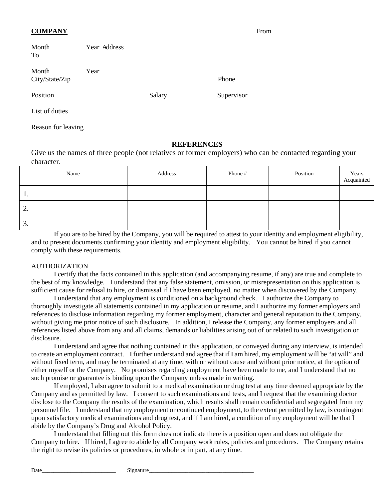| <b>COMPANY</b>                                         |                   | <u> 1999 - Jan James James James James James James James James James James James James James James James James Ja</u> |                |
|--------------------------------------------------------|-------------------|-----------------------------------------------------------------------------------------------------------------------|----------------|
| Month<br>$To \qquad \qquad \overbrace{\qquad \qquad }$ |                   |                                                                                                                       |                |
| Month                                                  | Year              |                                                                                                                       |                |
|                                                        | Position Position |                                                                                                                       |                |
|                                                        |                   |                                                                                                                       | List of duties |
|                                                        |                   |                                                                                                                       |                |

### **REFERENCES**

Give us the names of three people (not relatives or former employers) who can be contacted regarding your character.

| Name       | Address | Phone # | Position | Years<br>Acquainted |
|------------|---------|---------|----------|---------------------|
| ι.         |         |         |          |                     |
| <u>L</u> . |         |         |          |                     |
| J.         |         |         |          |                     |

If you are to be hired by the Company, you will be required to attest to your identity and employment eligibility, and to present documents confirming your identity and employment eligibility. You cannot be hired if you cannot comply with these requirements.

#### AUTHORIZATION

I certify that the facts contained in this application (and accompanying resume, if any) are true and complete to the best of my knowledge. I understand that any false statement, omission, or misrepresentation on this application is sufficient cause for refusal to hire, or dismissal if I have been employed, no matter when discovered by the Company.

I understand that any employment is conditioned on a background check. I authorize the Company to thoroughly investigate all statements contained in my application or resume, and I authorize my former employers and references to disclose information regarding my former employment, character and general reputation to the Company, without giving me prior notice of such disclosure. In addition, I release the Company, any former employers and all references listed above from any and all claims, demands or liabilities arising out of or related to such investigation or disclosure.

I understand and agree that nothing contained in this application, or conveyed during any interview, is intended to create an employment contract. I further understand and agree that if I am hired, my employment will be "at will" and without fixed term, and may be terminated at any time, with or without cause and without prior notice, at the option of either myself or the Company. No promises regarding employment have been made to me, and I understand that no such promise or guarantee is binding upon the Company unless made in writing.

If employed, I also agree to submit to a medical examination or drug test at any time deemed appropriate by the Company and as permitted by law. I consent to such examinations and tests, and I request that the examining doctor disclose to the Company the results of the examination, which results shall remain confidential and segregated from my personnel file. I understand that my employment or continued employment, to the extent permitted by law, is contingent upon satisfactory medical examinations and drug test, and if I am hired, a condition of my employment will be that I abide by the Company's Drug and Alcohol Policy.

I understand that filling out this form does not indicate there is a position open and does not obligate the Company to hire. If hired, I agree to abide by all Company work rules, policies and procedures. The Company retains the right to revise its policies or procedures, in whole or in part, at any time.